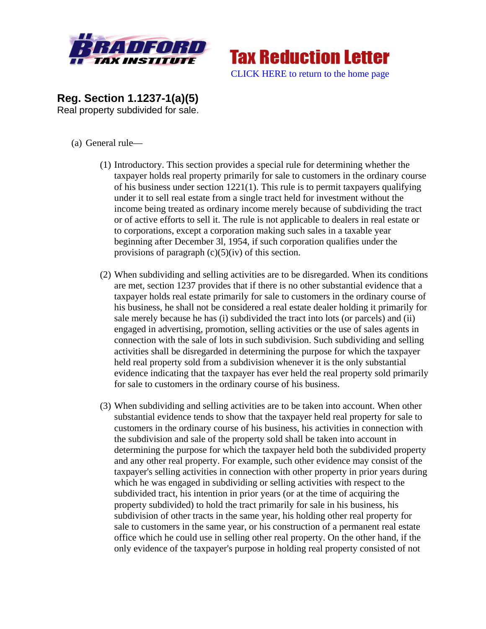



**Reg. Section 1.1237-1(a)(5)**  Real property subdivided for sale.

- (a) General rule—
	- (1) Introductory. This section provides a special rule for determining whether the taxpayer holds real property primarily for sale to customers in the ordinary course of his business under section 1221(1). This rule is to permit taxpayers qualifying under it to sell real estate from a single tract held for investment without the income being treated as ordinary income merely because of subdividing the tract or of active efforts to sell it. The rule is not applicable to dealers in real estate or to corporations, except a corporation making such sales in a taxable year beginning after December 3l, 1954, if such corporation qualifies under the provisions of paragraph  $(c)(5)(iv)$  of this section.
	- (2) When subdividing and selling activities are to be disregarded. When its conditions are met, section 1237 provides that if there is no other substantial evidence that a taxpayer holds real estate primarily for sale to customers in the ordinary course of his business, he shall not be considered a real estate dealer holding it primarily for sale merely because he has (i) subdivided the tract into lots (or parcels) and (ii) engaged in advertising, promotion, selling activities or the use of sales agents in connection with the sale of lots in such subdivision. Such subdividing and selling activities shall be disregarded in determining the purpose for which the taxpayer held real property sold from a subdivision whenever it is the only substantial evidence indicating that the taxpayer has ever held the real property sold primarily for sale to customers in the ordinary course of his business.
	- (3) When subdividing and selling activities are to be taken into account. When other substantial evidence tends to show that the taxpayer held real property for sale to customers in the ordinary course of his business, his activities in connection with the subdivision and sale of the property sold shall be taken into account in determining the purpose for which the taxpayer held both the subdivided property and any other real property. For example, such other evidence may consist of the taxpayer's selling activities in connection with other property in prior years during which he was engaged in subdividing or selling activities with respect to the subdivided tract, his intention in prior years (or at the time of acquiring the property subdivided) to hold the tract primarily for sale in his business, his subdivision of other tracts in the same year, his holding other real property for sale to customers in the same year, or his construction of a permanent real estate office which he could use in selling other real property. On the other hand, if the only evidence of the taxpayer's purpose in holding real property consisted of not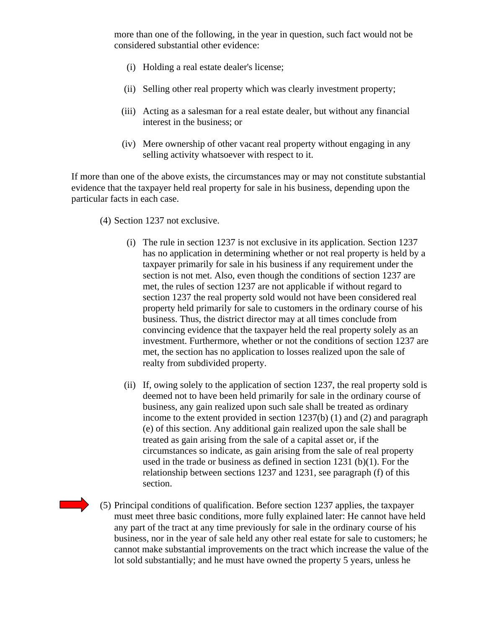more than one of the following, in the year in question, such fact would not be considered substantial other evidence:

- (i) Holding a real estate dealer's license;
- (ii) Selling other real property which was clearly investment property;
- (iii) Acting as a salesman for a real estate dealer, but without any financial interest in the business; or
- (iv) Mere ownership of other vacant real property without engaging in any selling activity whatsoever with respect to it.

If more than one of the above exists, the circumstances may or may not constitute substantial evidence that the taxpayer held real property for sale in his business, depending upon the particular facts in each case.

- (4) Section 1237 not exclusive.
	- (i) The rule in section 1237 is not exclusive in its application. Section 1237 has no application in determining whether or not real property is held by a taxpayer primarily for sale in his business if any requirement under the section is not met. Also, even though the conditions of section 1237 are met, the rules of section 1237 are not applicable if without regard to section 1237 the real property sold would not have been considered real property held primarily for sale to customers in the ordinary course of his business. Thus, the district director may at all times conclude from convincing evidence that the taxpayer held the real property solely as an investment. Furthermore, whether or not the conditions of section 1237 are met, the section has no application to losses realized upon the sale of realty from subdivided property.
	- (ii) If, owing solely to the application of section 1237, the real property sold is deemed not to have been held primarily for sale in the ordinary course of business, any gain realized upon such sale shall be treated as ordinary income to the extent provided in section 1237(b) (1) and (2) and paragraph (e) of this section. Any additional gain realized upon the sale shall be treated as gain arising from the sale of a capital asset or, if the circumstances so indicate, as gain arising from the sale of real property used in the trade or business as defined in section 1231 (b)(1). For the relationship between sections 1237 and 1231, see paragraph (f) of this section.
- 
- (5) Principal conditions of qualification. Before section 1237 applies, the taxpayer must meet three basic conditions, more fully explained later: He cannot have held any part of the tract at any time previously for sale in the ordinary course of his business, nor in the year of sale held any other real estate for sale to customers; he cannot make substantial improvements on the tract which increase the value of the lot sold substantially; and he must have owned the property 5 years, unless he